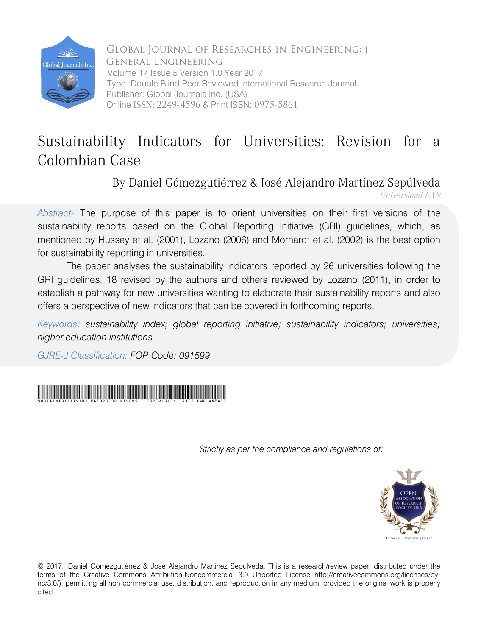

Global Journal of Researches in Engineering: J General Engineering Volume 17 Issue 5 Version 1.0 Year 2017 Type: Double Blind Peer Reviewed International Research Journal Publisher: Global Journals Inc. (USA) Online ISSN: 2249-4596 & Print ISSN: 0975-5861

# Sustainability Indicators for Universities: Revision for a Colombian Case

By Daniel Gómezgutiérrez & José Alejandro Martínez Sepúlveda

Universidad EAN

*Abstract-* The purpose of this paper is to orient universities on their first versions of the sustainability reports based on the Global Reporting Initiative (GRI) guidelines, which, as mentioned by Hussey et al. (2001), Lozano (2006) and Morhardt et al. (2002) is the best option for sustainability reporting in universities.

The paper analyses the sustainability indicators reported by 26 universities following the GRI guidelines, 18 revised by the authors and others reviewed by Lozano (2011), in order to establish a pathway for new universities wanting to elaborate their sustainability reports and also offers a perspective of new indicators that can be covered in forthcoming reports.

*Keywords: sustainability index; global reporting initiative; sustainability indicators; universities; higher education institutions.*

*GJRE-J Classification: FOR Code: 091599*



 *Strictly as per the compliance and regulations of:*



© 2017. Daniel Gómezgutiérrez & José Alejandro Martínez Sepúlveda. This is a research/review paper, distributed under the terms of the Creative Commons Attribution-Noncommercial 3.0 Unported License http://creativecommons.org/licenses/bync/3.0/), permitting all non commercial use, distribution, and reproduction in any medium, provided the original work is properly cited.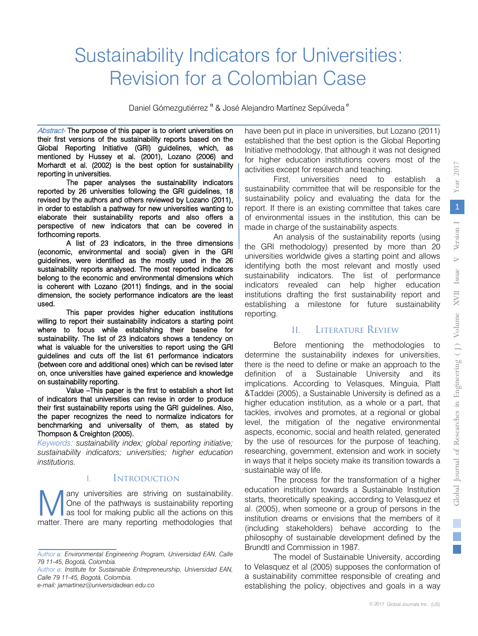# Sustainability Indicators for Universities: Revision for a Colombian Case

Daniel Gómezgutiérrez <sup>α</sup> & José Alejandro Martínez Sepúlveda<sup>σ</sup>

Abstract- The purpose of this paper is to orient universities on their first versions of the sustainability reports based on the Global Reporting Initiative (GRI) guidelines, which, as mentioned by Hussey et al. (2001), Lozano (2006) and Morhardt et al. (2002) is the best option for sustainability reporting in universities.

The paper analyses the sustainability indicators reported by 26 universities following the GRI guidelines, 18 revised by the authors and others reviewed by Lozano (2011), in order to establish a pathway for new universities wanting to elaborate their sustainability reports and also offers a perspective of new indicators that can be covered in forthcoming reports.

A list of 23 indicators, in the three dimensions (economic, environmental and social) given in the GRI guidelines, were identified as the mostly used in the 26 sustainability reports analysed. The most reported indicators belong to the economic and environmental dimensions which is coherent with Lozano (2011) findings, and in the social dimension, the society performance indicators are the least used.

This paper provides higher education institutions willing to report their sustainability indicators a starting point where to focus while establishing their baseline for sustainability. The list of 23 indicators shows a tendency on what is valuable for the universities to report using the GRI guidelines and cuts off the list 61 performance indicators (between core and additional ones) which can be revised later on, once universities have gained experience and knowledge on sustainability reporting.

Value –This paper is the first to establish a short list of indicators that universities can revise in order to produce their first sustainability reports using the GRI guidelines. Also, the paper recognizes the need to normalize indicators for benchmarking and universality of them, as stated by Thompson & Creighton (2005).

*Keywords: sustainability index; global reporting initiative; sustainability indicators; universities; higher education institutions.*

#### I. Introduction

any universities are striving on sustainability. One of the pathways is sustainability reporting as tool for making public all the actions on this Many universities are striving on sustainability.<br>
One of the pathways is sustainability reporting<br>
as tool for making public all the actions on this<br>
matter. There are many reporting methodologies that

*Author σ: Institute for Sustainable Entrepreneurship, Universidad EAN, Calle 79 11-45, Bogotá, Colombia.*

*e-mail: jamartinez@universidadean.edu.co*

have been put in place in universities, but Lozano (2011) established that the best option is the Global Reporting Initiative methodology, that although it was not designed for higher education institutions covers most of the activities except for research and teaching.

First, universities need to establish a sustainability committee that will be responsible for the sustainability policy and evaluating the data for the report. If there is an existing committee that takes care of environmental issues in the institution, this can be made in charge of the sustainability aspects.

An analysis of the sustainability reports (using the GRI methodology) presented by more than 20 universities worldwide gives a starting point and allows identifying both the most relevant and mostly used sustainability indicators. The list of performance indicators revealed can help higher education institutions drafting the first sustainability report and establishing a milestone for future sustainability reporting.

#### II. Literature Review

Before mentioning the methodologies to determine the sustainability indexes for universities, there is the need to define or make an approach to the definition of a Sustainable University and its implications. According to Velasques, Minguia, Platt &Taddei (2005), a Sustainable University is defined as a higher education institution, as a whole or a part, that tackles, involves and promotes, at a regional or global level, the mitigation of the negative environmental aspects, economic, social and health related, generated by the use of resources for the purpose of teaching, researching, government, extension and work in society in ways that it helps society make its transition towards a sustainable way of life.

The process for the transformation of a higher education institution towards a Sustainable Institution starts, theoretically speaking, according to Velasquez et al. (2005), when someone or a group of persons in the institution dreams or envisions that the members of it (including stakeholders) behave according to the philosophy of sustainable development defined by the Brundtl and Commission in 1987.

The model of Sustainable University, according to Velasquez et al (2005) supposes the conformation of a sustainability committee responsible of creating and establishing the policy, objectives and goals in a way

*Author α: Environmental Engineering Program, Universidad EAN, Calle 79 11-45, Bogotá, Colombia.*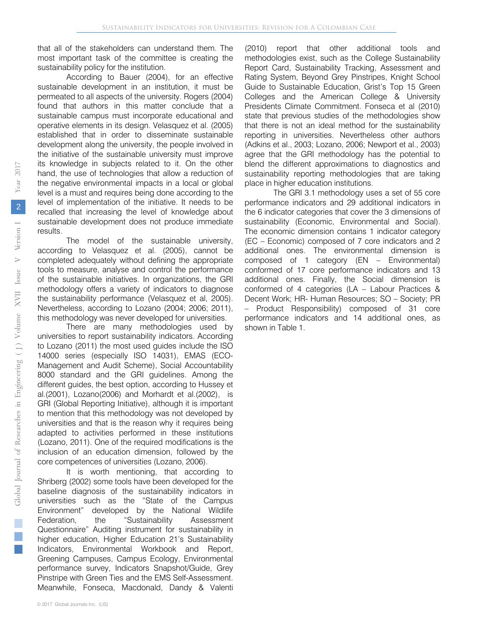that all of the stakeholders can understand them. The most important task of the committee is creating the sustainability policy for the institution.

According to Bauer (2004), for an effective sustainable development in an institution, it must be permeated to all aspects of the university. Rogers (2004) found that authors in this matter conclude that a sustainable campus must incorporate educational and operative elements in its design. Velasquez et al. (2005) established that in order to disseminate sustainable development along the university, the people involved in the initiative of the sustainable university must improve its knowledge in subjects related to it. On the other hand, the use of technologies that allow a reduction of the negative environmental impacts in a local or global level is a must and requires being done according to the level of implementation of the initiative. It needs to be recalled that increasing the level of knowledge about sustainable development does not produce immediate results.

The model of the sustainable university, according to Velasquez et al. (2005), cannot be completed adequately without defining the appropriate tools to measure, analyse and control the performance of the sustainable initiatives. In organizations, the GRI methodology offers a variety of indicators to diagnose the sustainability performance (Velasquez et al, 2005). Nevertheless, according to Lozano (2004; 2006; 2011), this methodology was never developed for universities.

There are many methodologies used by universities to report sustainability indicators. According to Lozano (2011) the most used guides include the ISO 14000 series (especially ISO 14031), EMAS (ECO-Management and Audit Scheme), Social Accountability 8000 standard and the GRI guidelines. Among the different guides, the best option, according to Hussey et al.(2001), Lozano(2006) and Morhardt et al.(2002), is GRI (Global Reporting Initiative), although it is important to mention that this methodology was not developed by universities and that is the reason why it requires being adapted to activities performed in these institutions (Lozano, 2011). One of the required modifications is the inclusion of an education dimension, followed by the core competences of universities (Lozano, 2006).

It is worth mentioning, that according to Shriberg (2002) some tools have been developed for the baseline diagnosis of the sustainability indicators in universities such as the "State of the Campus Environment" developed by the National Wildlife Federation, the "Sustainability Assessment Questionnaire" Auditing instrument for sustainability in higher education, Higher Education 21's Sustainability Indicators, Environmental Workbook and Report, Greening Campuses, Campus Ecology, Environmental performance survey, Indicators Snapshot/Guide, Grey Pinstripe with Green Ties and the EMS Self-Assessment. Meanwhile, Fonseca, Macdonald, Dandy & Valenti

(2010) report that other additional tools and methodologies exist, such as the College Sustainability Report Card, Sustainability Tracking, Assessment and Rating System, Beyond Grey Pinstripes, Knight School Guide to Sustainable Education, Grist's Top 15 Green Colleges and the American College & University Presidents Climate Commitment. Fonseca et al (2010) state that previous studies of the methodologies show that there is not an ideal method for the sustainability reporting in universities. Nevertheless other authors (Adkins et al., 2003; Lozano, 2006; Newport et al., 2003) agree that the GRI methodology has the potential to blend the different approximations to diagnostics and sustainability reporting methodologies that are taking place in higher education institutions.

The GRI 3.1 methodology uses a set of 55 core performance indicators and 29 additional indicators in the 6 indicator categories that cover the 3 dimensions of sustainability (Economic, Environmental and Social). The economic dimension contains 1 indicator category (EC – Economic) composed of 7 core indicators and 2 additional ones. The environmental dimension is composed of 1 category (EN – Environmental) conformed of 17 core performance indicators and 13 additional ones. Finally, the Social dimension is conformed of 4 categories (LA – Labour Practices & Decent Work; HR- Human Resources; SO – Society; PR – Product Responsibility) composed of 31 core performance indicators and 14 additional ones, as shown in Table 1.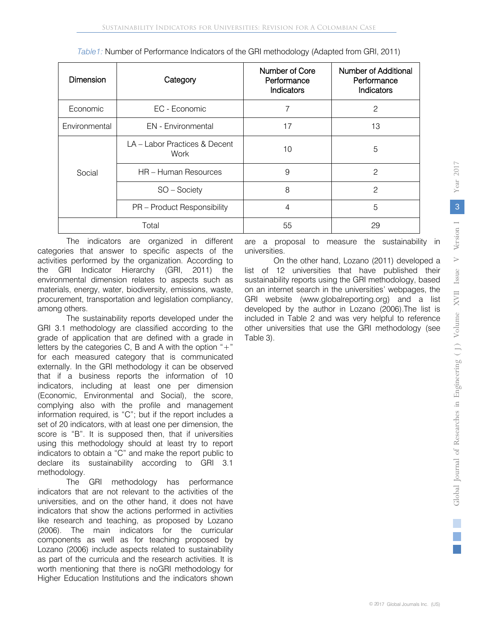| Dimension     | Category                               | Number of Core<br>Performance<br><b>Indicators</b> | Number of Additional<br>Performance<br><b>Indicators</b> |
|---------------|----------------------------------------|----------------------------------------------------|----------------------------------------------------------|
| Economic      | EC - Economic                          | 7                                                  | 2                                                        |
| Environmental | <b>EN</b> - Environmental              | 17                                                 | 13                                                       |
|               | I A – Labor Practices & Decent<br>Work | 10                                                 | 5                                                        |
| Social        | HR - Human Resources                   | 9                                                  | 2                                                        |
|               | SO - Society                           | 8                                                  | 2                                                        |
|               | PR - Product Responsibility            | 4                                                  | 5                                                        |
|               | Total                                  | 55                                                 | 29                                                       |

*Table1:* Number of Performance Indicators of the GRI methodology (Adapted from GRI, 2011)

The indicators are organized in different categories that answer to specific aspects of the activities performed by the organization. According to the GRI Indicator Hierarchy (GRI, 2011) the environmental dimension relates to aspects such as materials, energy, water, biodiversity, emissions, waste, procurement, transportation and legislation compliancy, among others.

The sustainability reports developed under the GRI 3.1 methodology are classified according to the grade of application that are defined with a grade in letters by the categories C, B and A with the option "+" for each measured category that is communicated externally. In the GRI methodology it can be observed that if a business reports the information of 10 indicators, including at least one per dimension (Economic, Environmental and Social), the score, complying also with the profile and management information required, is "C"; but if the report includes a set of 20 indicators, with at least one per dimension, the score is "B". It is supposed then, that if universities using this methodology should at least try to report indicators to obtain a "C" and make the report public to declare its sustainability according to GRI 3.1 methodology.

The GRI methodology has performance indicators that are not relevant to the activities of the universities, and on the other hand, it does not have indicators that show the actions performed in activities like research and teaching, as proposed by Lozano (2006). The main indicators for the curricular components as well as for teaching proposed by Lozano (2006) include aspects related to sustainability as part of the curricula and the research activities. It is worth mentioning that there is noGRI methodology for Higher Education Institutions and the indicators shown

are a proposal to measure the sustainability in universities.

On the other hand, Lozano (2011) developed a list of 12 universities that have published their sustainability reports using the GRI methodology, based on an internet search in the universities' webpages, the GRI website (www.globalreporting.org) and a list developed by the author in Lozano (2006).The list is included in Table 2 and was very helpful to reference other universities that use the GRI methodology (see Table 3).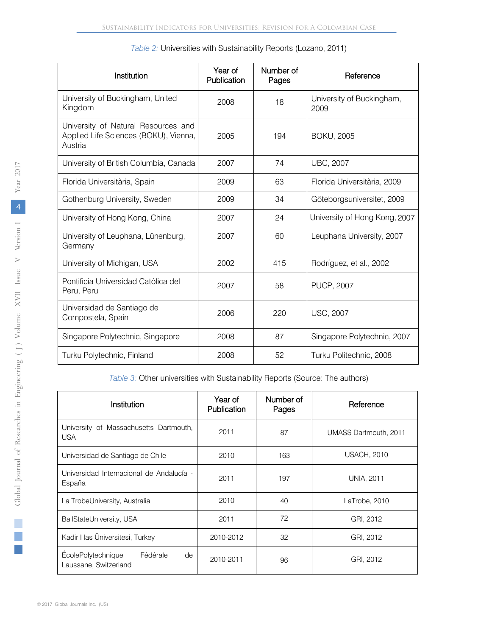| Institution                                                                             | Year of<br>Publication | Number of<br>Pages | Reference                         |
|-----------------------------------------------------------------------------------------|------------------------|--------------------|-----------------------------------|
| University of Buckingham, United<br>Kingdom                                             | 2008                   | 18                 | University of Buckingham,<br>2009 |
| University of Natural Resources and<br>Applied Life Sciences (BOKU), Vienna,<br>Austria | 2005                   | 194                | <b>BOKU, 2005</b>                 |
| University of British Columbia, Canada                                                  | 2007                   | 74                 | <b>UBC, 2007</b>                  |
| Florida Universitària, Spain                                                            | 2009                   | 63                 | Florida Universitària, 2009       |
| Gothenburg University, Sweden                                                           | 2009                   | 34                 | Göteborgsuniversitet, 2009        |
| University of Hong Kong, China                                                          | 2007                   | 24                 | University of Hong Kong, 2007     |
| University of Leuphana, Lünenburg,<br>Germany                                           | 2007                   | 60                 | Leuphana University, 2007         |
| University of Michigan, USA                                                             | 2002                   | 415                | Rodríguez, et al., 2002           |
| Pontificia Universidad Católica del<br>Peru, Peru                                       | 2007                   | 58                 | <b>PUCP, 2007</b>                 |
| Universidad de Santiago de<br>Compostela, Spain                                         | 2006                   | 220                | <b>USC, 2007</b>                  |
| Singapore Polytechnic, Singapore                                                        | 2008                   | 87                 | Singapore Polytechnic, 2007       |
| Turku Polytechnic, Finland                                                              | 2008                   | 52                 | Turku Politechnic, 2008           |

*Table 2:* Universities with Sustainability Reports (Lozano, 2011)

*Table 3:* Other universities with Sustainability Reports (Source: The authors)

| Institution                                                   | Year of<br>Publication | Number of<br>Pages | Reference             |
|---------------------------------------------------------------|------------------------|--------------------|-----------------------|
| University of Massachusetts Dartmouth,<br><b>USA</b>          | 2011                   | 87                 | UMASS Dartmouth, 2011 |
| Universidad de Santiago de Chile                              | 2010                   | 163                | <b>USACH, 2010</b>    |
| Universidad Internacional de Andalucía -<br>España            | 2011                   | 197                | <b>UNIA, 2011</b>     |
| La TrobeUniversity, Australia                                 | 2010                   | 40                 | LaTrobe, 2010         |
| BallStateUniversity, USA                                      | 2011                   | 72                 | GRI, 2012             |
| Kadir Has Üniversitesi, Turkey                                | 2010-2012              | 32                 | GRI, 2012             |
| Fédérale<br>EcolePolytechnique<br>de<br>Laussane, Switzerland | 2010-2011              | 96                 | GRI, 2012             |

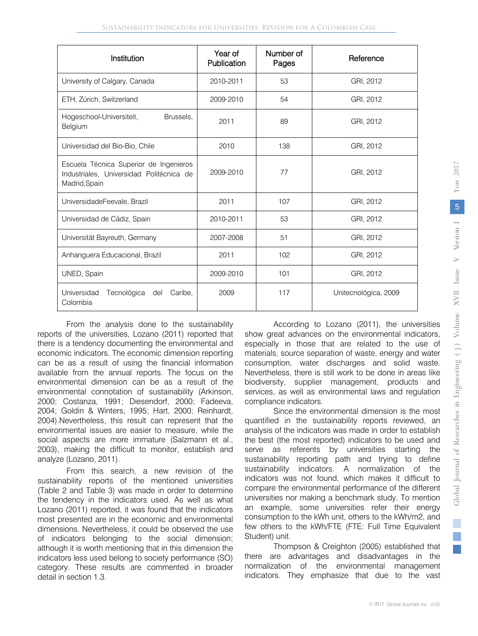| Institution                                                                                         | Year of<br>Publication | Number of<br>Pages | Reference            |
|-----------------------------------------------------------------------------------------------------|------------------------|--------------------|----------------------|
| University of Calgary, Canada                                                                       | 2010-2011              | 53                 | GRI, 2012            |
| ETH, Zúrich, Switzerland                                                                            | 2009-2010              | 54                 | GRI, 2012            |
| Hogeschool-Universiteit,<br>Brussels,<br>Belgium                                                    | 2011                   | 89                 | GRI, 2012            |
| Universidad del Bio-Bio, Chile                                                                      | 2010                   | 138                | GRI, 2012            |
| Escuela Técnica Superior de Ingenieros<br>Industriales, Universidad Politécnica de<br>Madrid, Spain | 2009-2010              | 77                 | GRI. 2012            |
| UniversidadeFeevale, Brazil                                                                         | 2011                   | 107                | GRI, 2012            |
| Universidad de Cádiz, Spain                                                                         | 2010-2011              | 53                 | GRI, 2012            |
| Universität Bayreuth, Germany                                                                       | 2007-2008              | 51                 | GRI, 2012            |
| Anhanguera Educacional, Brazil                                                                      | 2011                   | 102                | GRI, 2012            |
| UNED, Spain                                                                                         | 2009-2010              | 101                | GRI, 2012            |
| Universidad<br>Tecnológica<br>Caribe.<br>del<br>Colombia                                            | 2009                   | 117                | Unitecnológica, 2009 |

From the analysis done to the sustainability reports of the universities, Lozano (2011) reported that there is a tendency documenting the environmental and economic indicators. The economic dimension reporting can be as a result of using the financial information available from the annual reports. The focus on the environmental dimension can be as a result of the environmental connotation of sustainability (Arkinson, 2000; Costanza, 1991; Diesendorf, 2000; Fadeeva, 2004; Goldin & Winters, 1995; Hart, 2000; Reinhardt, 2004).Nevertheless, this result can represent that the environmental issues are easier to measure, while the social aspects are more immature (Salzmann et al., 2003), making the difficult to monitor, establish and analyze (Lozano, 2011).

From this search, a new revision of the sustainability reports of the mentioned universities (Table 2 and Table 3) was made in order to determine the tendency in the indicators used. As well as what Lozano (2011) reported, it was found that the indicators most presented are in the economic and environmental dimensions. Nevertheless, it could be observed the use of indicators belonging to the social dimension; although it is worth mentioning that in this dimension the indicators less used belong to society performance (SO) category. These results are commented in broader detail in section 1.3.

According to Lozano (2011), the universities show great advances on the environmental indicators, especially in those that are related to the use of materials, source separation of waste, energy and water consumption, water discharges and solid waste. Nevertheless, there is still work to be done in areas like biodiversity, supplier management, products and services, as well as environmental laws and regulation compliance indicators.

Since the environmental dimension is the most quantified in the sustainability reports reviewed, an analysis of the indicators was made in order to establish the best (the most reported) indicators to be used and serve as referents by universities starting the sustainability reporting path and trying to define sustainability indicators. A normalization of the indicators was not found, which makes it difficult to compare the environmental performance of the different universities nor making a benchmark study. To mention an example, some universities refer their energy consumption to the kWh unit, others to the kWh/m2, and few others to the kWh/FTE (FTE: Full Time Equivalent Student) unit.

Thompson & Creighton (2005) established that there are advantages and disadvantages in the normalization of the environmental management indicators. They emphasize that due to the vast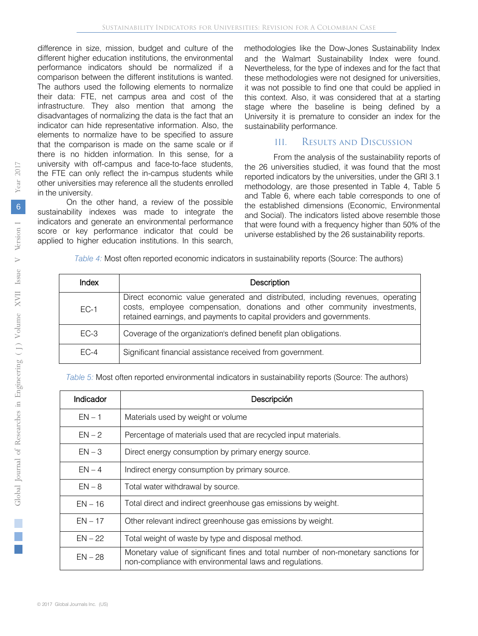different higher education institutions, the environmental performance indicators should be normalized if a comparison between the different institutions is wanted. The authors used the following elements to normalize their data: FTE, net campus area and cost of the infrastructure. They also mention that among the disadvantages of normalizing the data is the fact that an indicator can hide representative information. Also, the elements to normalize have to be specified to assure that the comparison is made on the same scale or if there is no hidden information. In this sense, for a university with off-campus and face-to-face students, the FTE can only reflect the in-campus students while other universities may reference all the students enrolled in the university. difference in size, mission, budget and culture of the

On the other hand, a review of the possible sustainability indexes was made to integrate the indicators and generate an environmental performance score or key performance indicator that could be applied to higher education institutions. In this search, methodologies like the Dow-Jones Sustainability Index and the Walmart Sustainability Index were found. Nevertheless, for the type of indexes and for the fact that these methodologies were not designed for universities, it was not possible to find one that could be applied in this context. Also, it was considered that at a starting stage where the baseline is being defined by a University it is premature to consider an index for the sustainability performance.

## III. Results and Discussion

From the analysis of the sustainability reports of the 26 universities studied, it was found that the most reported indicators by the universities, under the GRI 3.1 methodology, are those presented in Table 4, Table 5 and Table 6, where each table corresponds to one of the established dimensions (Economic, Environmental and Social). The indicators listed above resemble those that were found with a frequency higher than 50% of the universe established by the 26 sustainability reports.

*Table 4:* Most often reported economic indicators in sustainability reports (Source: The authors)

| Index  | Description                                                                                                                                                                                                                         |
|--------|-------------------------------------------------------------------------------------------------------------------------------------------------------------------------------------------------------------------------------------|
| $FC-1$ | Direct economic value generated and distributed, including revenues, operating<br>costs, employee compensation, donations and other community investments,<br>retained earnings, and payments to capital providers and governments. |
| $FC-3$ | Coverage of the organization's defined benefit plan obligations.                                                                                                                                                                    |
| $FC-4$ | Significant financial assistance received from government.                                                                                                                                                                          |

*Table 5:* Most often reported environmental indicators in sustainability reports (Source: The authors)

| Indicador | Descripción                                                                                                                                   |
|-----------|-----------------------------------------------------------------------------------------------------------------------------------------------|
| $EN-1$    | Materials used by weight or volume                                                                                                            |
| $EN-2$    | Percentage of materials used that are recycled input materials.                                                                               |
| $EN-3$    | Direct energy consumption by primary energy source.                                                                                           |
| $EN-4$    | Indirect energy consumption by primary source.                                                                                                |
| $EN - 8$  | Total water withdrawal by source.                                                                                                             |
| $EN - 16$ | Total direct and indirect greenhouse gas emissions by weight.                                                                                 |
| $FN - 17$ | Other relevant indirect greenhouse gas emissions by weight.                                                                                   |
| $EN - 22$ | Total weight of waste by type and disposal method.                                                                                            |
| $EN - 28$ | Monetary value of significant fines and total number of non-monetary sanctions for<br>non-compliance with environmental laws and regulations. |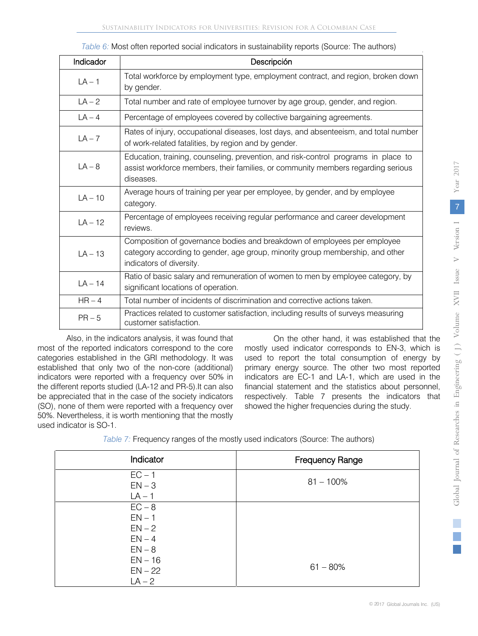| Indicador | Descripción                                                                                                                                                                           |
|-----------|---------------------------------------------------------------------------------------------------------------------------------------------------------------------------------------|
| $LA - 1$  | Total workforce by employment type, employment contract, and region, broken down<br>by gender.                                                                                        |
| $LA - 2$  | Total number and rate of employee turnover by age group, gender, and region.                                                                                                          |
| $LA - 4$  | Percentage of employees covered by collective bargaining agreements.                                                                                                                  |
| $LA - 7$  | Rates of injury, occupational diseases, lost days, and absenteeism, and total number<br>of work-related fatalities, by region and by gender.                                          |
| $LA - 8$  | Education, training, counseling, prevention, and risk-control programs in place to<br>assist workforce members, their families, or community members regarding serious<br>diseases.   |
| $IA-10$   | Average hours of training per year per employee, by gender, and by employee<br>category.                                                                                              |
| $LA - 12$ | Percentage of employees receiving regular performance and career development<br>reviews.                                                                                              |
| $LA - 13$ | Composition of governance bodies and breakdown of employees per employee<br>category according to gender, age group, minority group membership, and other<br>indicators of diversity. |
| $LA - 14$ | Ratio of basic salary and remuneration of women to men by employee category, by<br>significant locations of operation.                                                                |
| $HR - 4$  | Total number of incidents of discrimination and corrective actions taken.                                                                                                             |
| $PR - 5$  | Practices related to customer satisfaction, including results of surveys measuring<br>customer satisfaction.                                                                          |

*Table 6:* Most often reported social indicators in sustainability reports (Source: The authors)

Also, in the indicators analysis, it was found that most of the reported indicators correspond to the core categories established in the GRI methodology. It was established that only two of the non-core (additional) indicators were reported with a frequency over 50% in the different reports studied (LA-12 and PR-5).It can also be appreciated that in the case of the society indicators (SO), none of them were reported with a frequency over 50%. Nevertheless, it is worth mentioning that the mostly used indicator is SO-1.

On the other hand, it was established that the mostly used indicator corresponds to EN-3, which is used to report the total consumption of energy by primary energy source. The other two most reported indicators are EC-1 and LA-1, which are used in the financial statement and the statistics about personnel, respectively. Table 7 presents the indicators that showed the higher frequencies during the study.

| Table 7: Frequency ranges of the mostly used indicators (Source: The authors) |  |
|-------------------------------------------------------------------------------|--|
|                                                                               |  |

| Indicator                                                         | <b>Frequency Range</b> |
|-------------------------------------------------------------------|------------------------|
| $EC - 1$<br>$EN-3$<br>$LA - 1$                                    | $81 - 100\%$           |
| $EC - 8$<br>$EN-1$<br>$EN - 2$<br>$EN-4$<br>$EN - 8$<br>$EN - 16$ | $61 - 80\%$            |
| $EN - 22$<br>$LA - 2$                                             |                        |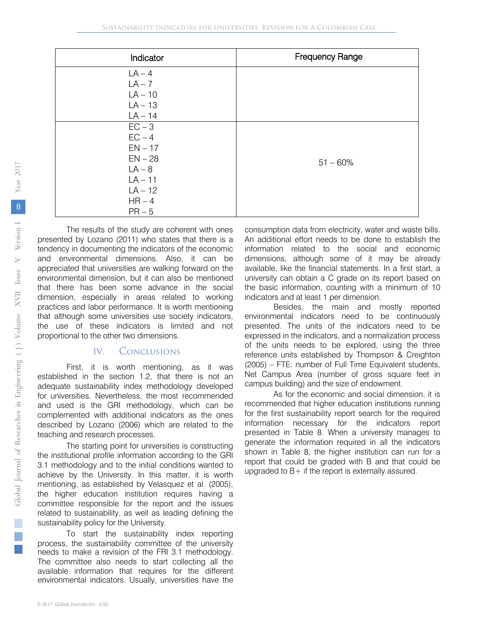| Indicator | <b>Frequency Range</b> |
|-----------|------------------------|
| $LA - 4$  |                        |
| $LA - 7$  |                        |
| $LA - 10$ |                        |
| $LA - 13$ |                        |
| $LA - 14$ |                        |
| $EC-3$    |                        |
| $EC - 4$  |                        |
| $EN - 17$ |                        |
| $EN - 28$ | $51 - 60%$             |
| $LA - 8$  |                        |
| $LA - 11$ |                        |
| $LA - 12$ |                        |
| $HR - 4$  |                        |
| $PR - 5$  |                        |

The results of the study are coherent with ones presented by Lozano (2011) who states that there is a tendency in documenting the indicators of the economic and environmental dimensions. Also, it can be appreciated that universities are walking forward on the environmental dimension, but it can also be mentioned that there has been some advance in the social dimension, especially in areas related to working practices and labor performance. It is worth mentioning that although some universities use society indicators, the use of these indicators is limited and not proportional to the other two dimensions.

#### IV. Conclusions

First, it is worth mentioning, as it was established in the section 1.2, that there is not an adequate sustainability index methodology developed for universities. Nevertheless, the most recommended and used is the GRI methodology, which can be complemented with additional indicators as the ones described by Lozano (2006) which are related to the teaching and research processes.

The starting point for universities is constructing the institutional profile information according to the GRI 3.1 methodology and to the initial conditions wanted to achieve by the University. In this matter, it is worth mentioning, as established by Velasquez et al. (2005), the higher education institution requires having a committee responsible for the report and the issues related to sustainability, as well as leading defining the sustainability policy for the University.

To start the sustainability index reporting process, the sustainability committee of the university needs to make a revision of the FRI 3.1 methodology. The committee also needs to start collecting all the available information that requires for the different environmental indicators. Usually, universities have the

consumption data from electricity, water and waste bills. An additional effort needs to be done to establish the information related to the social and economic dimensions, although some of it may be already available, like the financial statements. In a first start, a university can obtain a C grade on its report based on the basic information, counting with a minimum of 10 indicators and at least 1 per dimension.

Besides, the main and mostly reported environmental indicators need to be continuously presented. The units of the indicators need to be expressed in the indicators, and a normalization process of the units needs to be explored, using the three reference units established by Thompson & Creighton (2005) – FTE: number of Full Time Equivalent students, Net Campus Area (number of gross square feet in campus building) and the size of endowment.

As for the economic and social dimension, it is recommended that higher education institutions running for the first sustainability report search for the required information necessary for the indicators report presented in Table 8. When a university manages to generate the information required in all the indicators shown in Table 8, the higher institution can run for a report that could be graded with B and that could be upgraded to  $B+$  if the report is externally assured.

Global Journal of Researches in Engineering ( ) Volume XVII Issue V Version I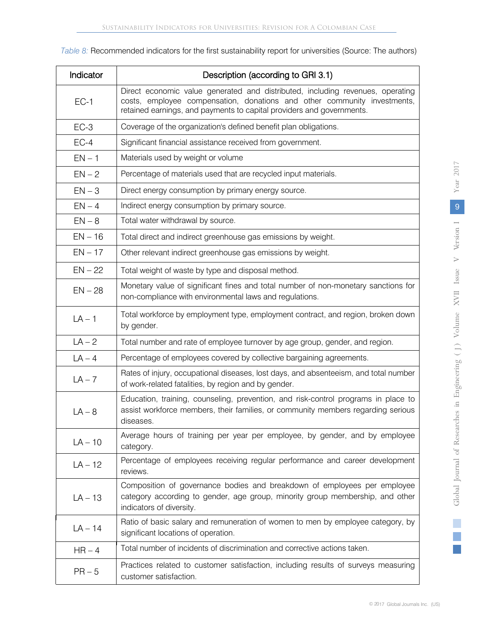*Table 8:* Recommended indicators for the first sustainability report for universities (Source: The authors)

| Indicator | Description (according to GRI 3.1)                                                                                                                                                                                                  |
|-----------|-------------------------------------------------------------------------------------------------------------------------------------------------------------------------------------------------------------------------------------|
| $EC-1$    | Direct economic value generated and distributed, including revenues, operating<br>costs, employee compensation, donations and other community investments,<br>retained earnings, and payments to capital providers and governments. |
| $EC-3$    | Coverage of the organization's defined benefit plan obligations.                                                                                                                                                                    |
| $EC-4$    | Significant financial assistance received from government.                                                                                                                                                                          |
| $EN-1$    | Materials used by weight or volume                                                                                                                                                                                                  |
| $EN-2$    | Percentage of materials used that are recycled input materials.                                                                                                                                                                     |
| $EN-3$    | Direct energy consumption by primary energy source.                                                                                                                                                                                 |
| $EN-4$    | Indirect energy consumption by primary source.                                                                                                                                                                                      |
| $EN-8$    | Total water withdrawal by source.                                                                                                                                                                                                   |
| $EN - 16$ | Total direct and indirect greenhouse gas emissions by weight.                                                                                                                                                                       |
| $EN - 17$ | Other relevant indirect greenhouse gas emissions by weight.                                                                                                                                                                         |
| $EN - 22$ | Total weight of waste by type and disposal method.                                                                                                                                                                                  |
| $EN - 28$ | Monetary value of significant fines and total number of non-monetary sanctions for<br>non-compliance with environmental laws and regulations.                                                                                       |
| $LA - 1$  | Total workforce by employment type, employment contract, and region, broken down<br>by gender.                                                                                                                                      |
| $LA - 2$  | Total number and rate of employee turnover by age group, gender, and region.                                                                                                                                                        |
| $LA - 4$  | Percentage of employees covered by collective bargaining agreements.                                                                                                                                                                |
| $LA - 7$  | Rates of injury, occupational diseases, lost days, and absenteeism, and total number<br>of work-related fatalities, by region and by gender.                                                                                        |
| $LA - 8$  | Education, training, counseling, prevention, and risk-control programs in place to<br>assist workforce members, their families, or community members regarding serious<br>diseases.                                                 |
| $LA - 10$ | Average hours of training per year per employee, by gender, and by employee<br>category.                                                                                                                                            |
| $LA - 12$ | Percentage of employees receiving regular performance and career development<br>reviews.                                                                                                                                            |
| $LA - 13$ | Composition of governance bodies and breakdown of employees per employee<br>category according to gender, age group, minority group membership, and other<br>indicators of diversity.                                               |
| $LA - 14$ | Ratio of basic salary and remuneration of women to men by employee category, by<br>significant locations of operation.                                                                                                              |
| $HR - 4$  | Total number of incidents of discrimination and corrective actions taken.                                                                                                                                                           |
| $PR-5$    | Practices related to customer satisfaction, including results of surveys measuring<br>customer satisfaction.                                                                                                                        |